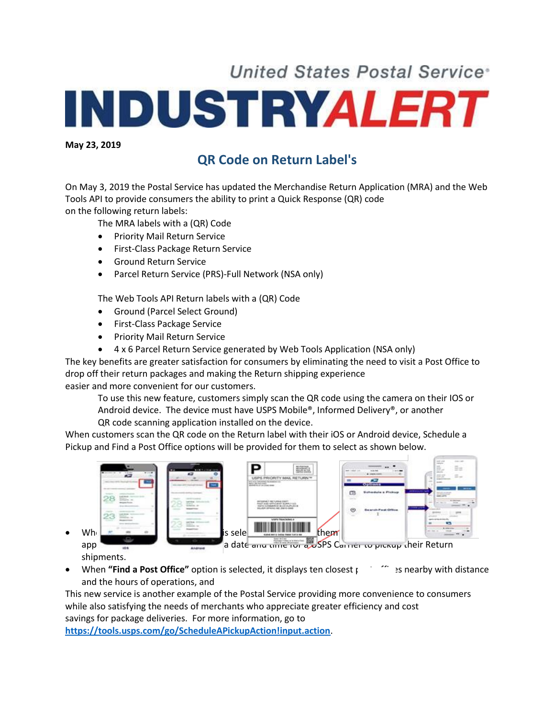## **United States Postal Service\* INDUSTRYALERT**

**May 23, 2019**

## **QR Code on Return Label's**

On May 3, 2019 the Postal Service has updated the Merchandise Return Application (MRA) and the Web Tools API to provide consumers the ability to print a Quick Response (QR) code on the following return labels:

The MRA labels with a (QR) Code

- **•** Priority Mail Return Service
- **•** First-Class Package Return Service
- Ground Return Service
- Parcel Return Service (PRS)-Full Network (NSA only)

The Web Tools API Return labels with a (QR) Code

- Ground (Parcel Select Ground)
- First-Class Package Service
- **•** Priority Mail Return Service
- 4 x 6 Parcel Return Service generated by Web Tools Application (NSA only)

The key benefits are greater satisfaction for consumers by eliminating the need to visit a Post Office to drop off their return packages and making the Return shipping experience easier and more convenient for our customers.

To use this new feature, customers simply scan the QR code using the camera on their IOS or Android device. The device must have USPS Mobile®, Informed Delivery®, or another QR code scanning application installed on the device.

When customers scan the QR code on the Return label with their iOS or Android device, Schedule a

Pickup and Find a Post Office options will be provided for them to select as shown below.



shipments.

• When "Find a Post Office" option is selected, it displays ten closest post of the searby with distance and the hours of operations, and

This new service is another example of the Postal Service providing more convenience to consumers while also satisfying the needs of merchants who appreciate greater efficiency and cost savings for package deliveries. For more information, go to

**<https://tools.usps.com/go/ScheduleAPickupAction!input.action>**.